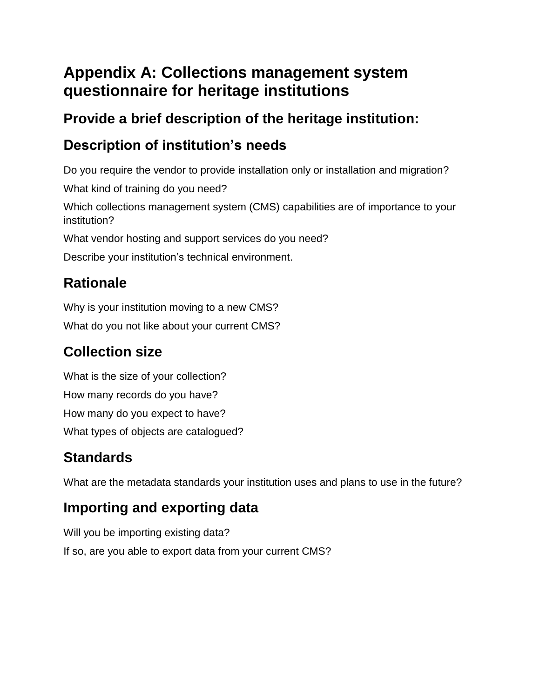## **Appendix A: Collections management system questionnaire for heritage institutions**

#### **Provide a brief description of the heritage institution:**

## **Description of institution's needs**

Do you require the vendor to provide installation only or installation and migration?

What kind of training do you need?

Which collections management system (CMS) capabilities are of importance to your institution?

What vendor hosting and support services do you need?

Describe your institution's technical environment.

## **Rationale**

Why is your institution moving to a new CMS?

What do you not like about your current CMS?

## **Collection size**

What is the size of your collection? How many records do you have? How many do you expect to have? What types of objects are catalogued?

# **Standards**

What are the metadata standards your institution uses and plans to use in the future?

## **Importing and exporting data**

Will you be importing existing data? If so, are you able to export data from your current CMS?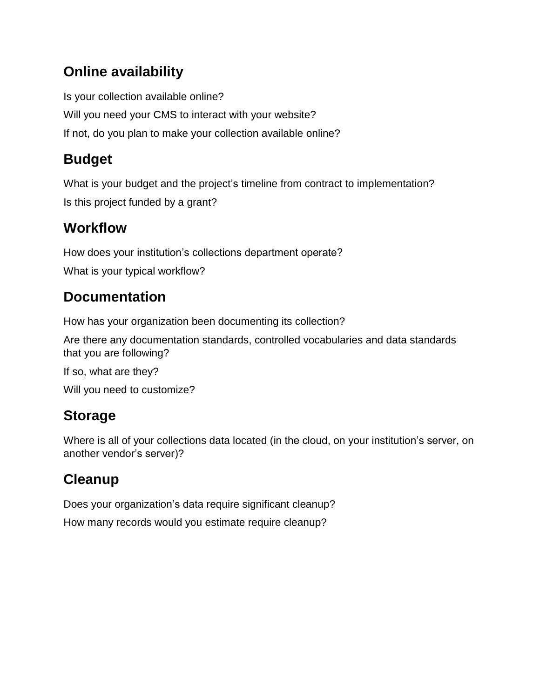#### **Online availability**

Is your collection available online? Will you need your CMS to interact with your website? If not, do you plan to make your collection available online?

### **Budget**

What is your budget and the project's timeline from contract to implementation? Is this project funded by a grant?

#### **Workflow**

How does your institution's collections department operate? What is your typical workflow?

### **Documentation**

How has your organization been documenting its collection?

Are there any documentation standards, controlled vocabularies and data standards that you are following?

If so, what are they? Will you need to customize?

### **Storage**

Where is all of your collections data located (in the cloud, on your institution's server, on another vendor's server)?

## **Cleanup**

Does your organization's data require significant cleanup? How many records would you estimate require cleanup?